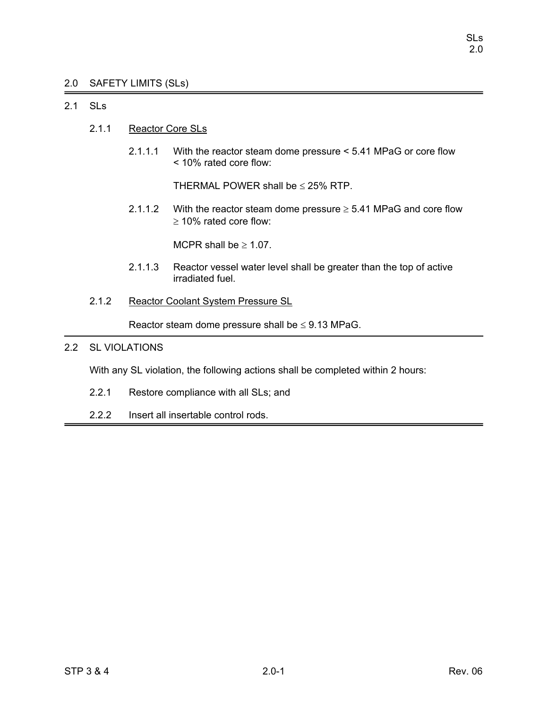# 2.0 SAFETY LIMITS (SLs)

# 2.1 SLs

- 2.1.1 Reactor Core SLs
	- 2.1.1.1 With the reactor steam dome pressure < 5.41 MPaG or core flow < 10% rated core flow:

THERMAL POWER shall be  $\leq$  25% RTP.

2.1.1.2 With the reactor steam dome pressure  $\geq$  5.41 MPaG and core flow ≥ 10% rated core flow:

MCPR shall be  $\geq 1.07$ .

- 2.1.1.3 Reactor vessel water level shall be greater than the top of active irradiated fuel.
- 2.1.2 Reactor Coolant System Pressure SL

Reactor steam dome pressure shall be  $\leq$  9.13 MPaG.

# 2.2 SL VIOLATIONS

With any SL violation, the following actions shall be completed within 2 hours:

- 2.2.1 Restore compliance with all SLs; and
- 2.2.2 Insert all insertable control rods.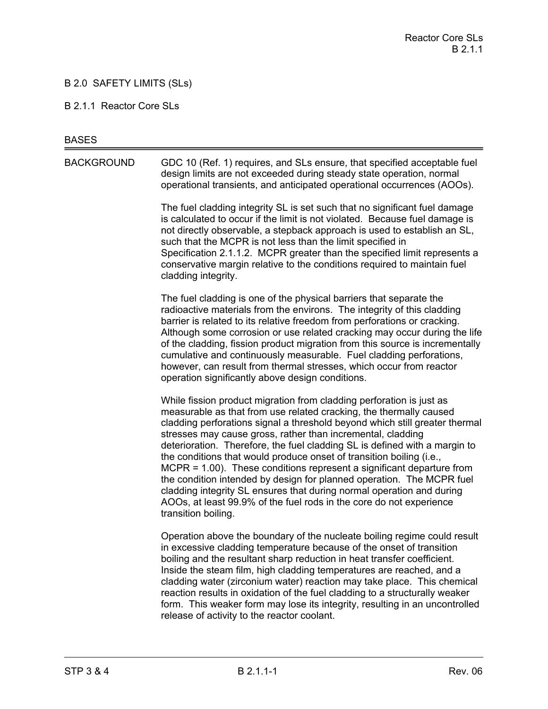# B 2.0 SAFETY LIMITS (SLs)

#### B 2.1.1 Reactor Core SLs

#### **BASES**

BACKGROUND GDC 10 (Ref. 1) requires, and SLs ensure, that specified acceptable fuel design limits are not exceeded during steady state operation, normal operational transients, and anticipated operational occurrences (AOOs).

> The fuel cladding integrity SL is set such that no significant fuel damage is calculated to occur if the limit is not violated. Because fuel damage is not directly observable, a stepback approach is used to establish an SL, such that the MCPR is not less than the limit specified in Specification 2.1.1.2. MCPR greater than the specified limit represents a conservative margin relative to the conditions required to maintain fuel cladding integrity.

The fuel cladding is one of the physical barriers that separate the radioactive materials from the environs. The integrity of this cladding barrier is related to its relative freedom from perforations or cracking. Although some corrosion or use related cracking may occur during the life of the cladding, fission product migration from this source is incrementally cumulative and continuously measurable. Fuel cladding perforations, however, can result from thermal stresses, which occur from reactor operation significantly above design conditions.

While fission product migration from cladding perforation is just as measurable as that from use related cracking, the thermally caused cladding perforations signal a threshold beyond which still greater thermal stresses may cause gross, rather than incremental, cladding deterioration. Therefore, the fuel cladding SL is defined with a margin to the conditions that would produce onset of transition boiling (i.e., MCPR = 1.00). These conditions represent a significant departure from the condition intended by design for planned operation. The MCPR fuel cladding integrity SL ensures that during normal operation and during AOOs, at least 99.9% of the fuel rods in the core do not experience transition boiling.

Operation above the boundary of the nucleate boiling regime could result in excessive cladding temperature because of the onset of transition boiling and the resultant sharp reduction in heat transfer coefficient. Inside the steam film, high cladding temperatures are reached, and a cladding water (zirconium water) reaction may take place. This chemical reaction results in oxidation of the fuel cladding to a structurally weaker form. This weaker form may lose its integrity, resulting in an uncontrolled release of activity to the reactor coolant.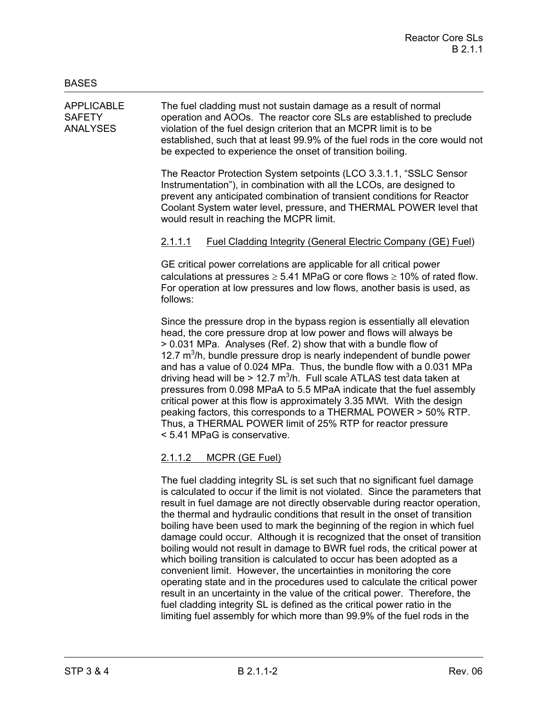APPLICABLE The fuel cladding must not sustain damage as a result of normal SAFETY operation and AOOs. The reactor core SLs are established to preclude ANALYSES violation of the fuel design criterion that an MCPR limit is to be established, such that at least 99.9% of the fuel rods in the core would not be expected to experience the onset of transition boiling.

> The Reactor Protection System setpoints (LCO 3.3.1.1, "SSLC Sensor Instrumentation"), in combination with all the LCOs, are designed to prevent any anticipated combination of transient conditions for Reactor Coolant System water level, pressure, and THERMAL POWER level that would result in reaching the MCPR limit.

# 2.1.1.1 Fuel Cladding Integrity (General Electric Company (GE) Fuel)

GE critical power correlations are applicable for all critical power calculations at pressures  $\geq 5.41$  MPaG or core flows  $\geq 10\%$  of rated flow. For operation at low pressures and low flows, another basis is used, as follows:

Since the pressure drop in the bypass region is essentially all elevation head, the core pressure drop at low power and flows will always be > 0.031 MPa. Analyses (Ref. 2) show that with a bundle flow of 12.7  $m<sup>3</sup>/h$ , bundle pressure drop is nearly independent of bundle power and has a value of 0.024 MPa. Thus, the bundle flow with a 0.031 MPa driving head will be > 12.7  $m^3/h$ . Full scale ATLAS test data taken at pressures from 0.098 MPaA to 5.5 MPaA indicate that the fuel assembly critical power at this flow is approximately 3.35 MWt. With the design peaking factors, this corresponds to a THERMAL POWER > 50% RTP. Thus, a THERMAL POWER limit of 25% RTP for reactor pressure < 5.41 MPaG is conservative.

# 2.1.1.2 MCPR (GE Fuel)

The fuel cladding integrity SL is set such that no significant fuel damage is calculated to occur if the limit is not violated. Since the parameters that result in fuel damage are not directly observable during reactor operation, the thermal and hydraulic conditions that result in the onset of transition boiling have been used to mark the beginning of the region in which fuel damage could occur. Although it is recognized that the onset of transition boiling would not result in damage to BWR fuel rods, the critical power at which boiling transition is calculated to occur has been adopted as a convenient limit. However, the uncertainties in monitoring the core operating state and in the procedures used to calculate the critical power result in an uncertainty in the value of the critical power. Therefore, the fuel cladding integrity SL is defined as the critical power ratio in the limiting fuel assembly for which more than 99.9% of the fuel rods in the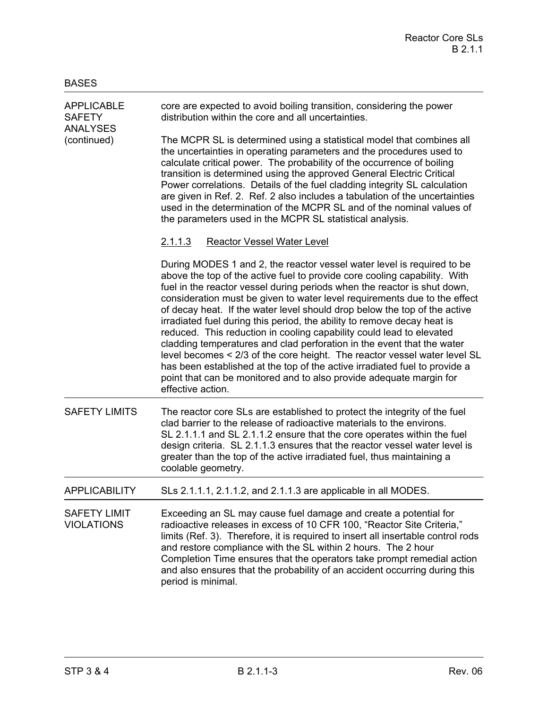| <b>APPLICABLE</b><br><b>SAFETY</b><br><b>ANALYSES</b><br>(continued) | core are expected to avoid boiling transition, considering the power<br>distribution within the core and all uncertainties.                                                                                                                                                                                                                                                                                                                                                                                                                                                                                                                                                                                                                                                                                                                                                   |
|----------------------------------------------------------------------|-------------------------------------------------------------------------------------------------------------------------------------------------------------------------------------------------------------------------------------------------------------------------------------------------------------------------------------------------------------------------------------------------------------------------------------------------------------------------------------------------------------------------------------------------------------------------------------------------------------------------------------------------------------------------------------------------------------------------------------------------------------------------------------------------------------------------------------------------------------------------------|
|                                                                      | The MCPR SL is determined using a statistical model that combines all<br>the uncertainties in operating parameters and the procedures used to<br>calculate critical power. The probability of the occurrence of boiling<br>transition is determined using the approved General Electric Critical<br>Power correlations. Details of the fuel cladding integrity SL calculation<br>are given in Ref. 2. Ref. 2 also includes a tabulation of the uncertainties<br>used in the determination of the MCPR SL and of the nominal values of<br>the parameters used in the MCPR SL statistical analysis.                                                                                                                                                                                                                                                                             |
|                                                                      | <b>Reactor Vessel Water Level</b><br><u>2.1.1.3</u>                                                                                                                                                                                                                                                                                                                                                                                                                                                                                                                                                                                                                                                                                                                                                                                                                           |
|                                                                      | During MODES 1 and 2, the reactor vessel water level is required to be<br>above the top of the active fuel to provide core cooling capability. With<br>fuel in the reactor vessel during periods when the reactor is shut down,<br>consideration must be given to water level requirements due to the effect<br>of decay heat. If the water level should drop below the top of the active<br>irradiated fuel during this period, the ability to remove decay heat is<br>reduced. This reduction in cooling capability could lead to elevated<br>cladding temperatures and clad perforation in the event that the water<br>level becomes < 2/3 of the core height. The reactor vessel water level SL<br>has been established at the top of the active irradiated fuel to provide a<br>point that can be monitored and to also provide adequate margin for<br>effective action. |
| <b>SAFETY LIMITS</b>                                                 | The reactor core SLs are established to protect the integrity of the fuel<br>clad barrier to the release of radioactive materials to the environs.<br>SL 2.1.1.1 and SL 2.1.1.2 ensure that the core operates within the fuel<br>design criteria. SL 2.1.1.3 ensures that the reactor vessel water level is<br>greater than the top of the active irradiated fuel, thus maintaining a<br>coolable geometry.                                                                                                                                                                                                                                                                                                                                                                                                                                                                   |
| <b>APPLICABILITY</b>                                                 | SLs 2.1.1.1, 2.1.1.2, and 2.1.1.3 are applicable in all MODES.                                                                                                                                                                                                                                                                                                                                                                                                                                                                                                                                                                                                                                                                                                                                                                                                                |
| <b>SAFETY LIMIT</b><br><b>VIOLATIONS</b>                             | Exceeding an SL may cause fuel damage and create a potential for<br>radioactive releases in excess of 10 CFR 100, "Reactor Site Criteria,"<br>limits (Ref. 3). Therefore, it is required to insert all insertable control rods<br>and restore compliance with the SL within 2 hours. The 2 hour<br>Completion Time ensures that the operators take prompt remedial action<br>and also ensures that the probability of an accident occurring during this<br>period is minimal.                                                                                                                                                                                                                                                                                                                                                                                                 |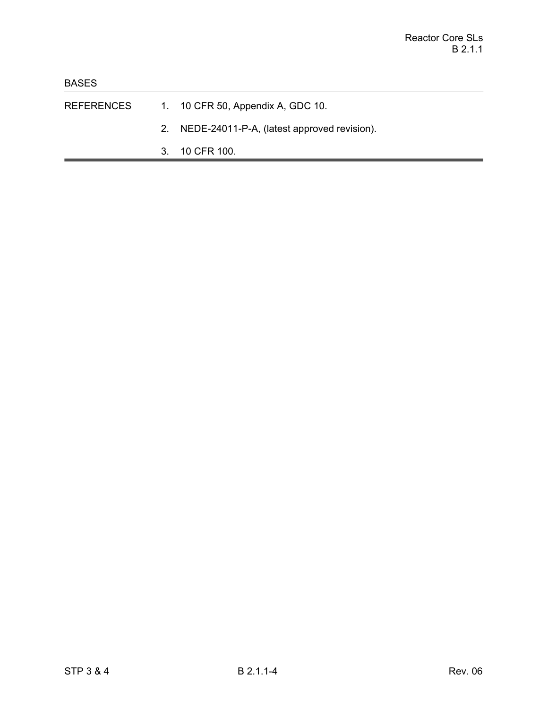- REFERENCES 1. 10 CFR 50, Appendix A, GDC 10.
	- 2. NEDE-24011-P-A, (latest approved revision).
	- 3. 10 CFR 100.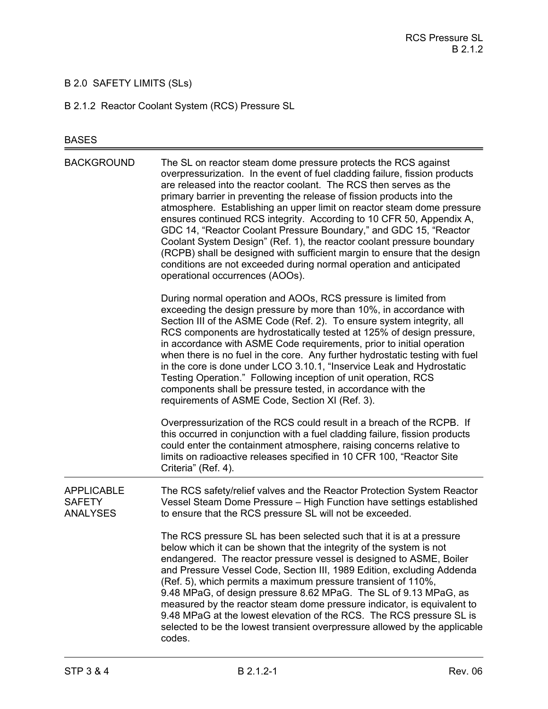# B 2.0 SAFETY LIMITS (SLs)

B 2.1.2 Reactor Coolant System (RCS) Pressure SL

# BASES

| <b>BACKGROUND</b>                                     | The SL on reactor steam dome pressure protects the RCS against<br>overpressurization. In the event of fuel cladding failure, fission products<br>are released into the reactor coolant. The RCS then serves as the<br>primary barrier in preventing the release of fission products into the<br>atmosphere. Establishing an upper limit on reactor steam dome pressure<br>ensures continued RCS integrity. According to 10 CFR 50, Appendix A,<br>GDC 14, "Reactor Coolant Pressure Boundary," and GDC 15, "Reactor<br>Coolant System Design" (Ref. 1), the reactor coolant pressure boundary<br>(RCPB) shall be designed with sufficient margin to ensure that the design<br>conditions are not exceeded during normal operation and anticipated<br>operational occurrences (AOOs). |
|-------------------------------------------------------|--------------------------------------------------------------------------------------------------------------------------------------------------------------------------------------------------------------------------------------------------------------------------------------------------------------------------------------------------------------------------------------------------------------------------------------------------------------------------------------------------------------------------------------------------------------------------------------------------------------------------------------------------------------------------------------------------------------------------------------------------------------------------------------|
|                                                       | During normal operation and AOOs, RCS pressure is limited from<br>exceeding the design pressure by more than 10%, in accordance with<br>Section III of the ASME Code (Ref. 2). To ensure system integrity, all<br>RCS components are hydrostatically tested at 125% of design pressure,<br>in accordance with ASME Code requirements, prior to initial operation<br>when there is no fuel in the core. Any further hydrostatic testing with fuel<br>in the core is done under LCO 3.10.1, "Inservice Leak and Hydrostatic<br>Testing Operation." Following inception of unit operation, RCS<br>components shall be pressure tested, in accordance with the<br>requirements of ASME Code, Section XI (Ref. 3).                                                                        |
|                                                       | Overpressurization of the RCS could result in a breach of the RCPB. If<br>this occurred in conjunction with a fuel cladding failure, fission products<br>could enter the containment atmosphere, raising concerns relative to<br>limits on radioactive releases specified in 10 CFR 100, "Reactor Site<br>Criteria" (Ref. 4).                                                                                                                                                                                                                                                                                                                                                                                                                                                        |
| <b>APPLICABLE</b><br><b>SAFETY</b><br><b>ANALYSES</b> | The RCS safety/relief valves and the Reactor Protection System Reactor<br>Vessel Steam Dome Pressure - High Function have settings established<br>to ensure that the RCS pressure SL will not be exceeded.                                                                                                                                                                                                                                                                                                                                                                                                                                                                                                                                                                           |
|                                                       | The RCS pressure SL has been selected such that it is at a pressure<br>below which it can be shown that the integrity of the system is not<br>endangered. The reactor pressure vessel is designed to ASME, Boiler<br>and Pressure Vessel Code, Section III, 1989 Edition, excluding Addenda<br>(Ref. 5), which permits a maximum pressure transient of 110%,<br>9.48 MPaG, of design pressure 8.62 MPaG. The SL of 9.13 MPaG, as<br>measured by the reactor steam dome pressure indicator, is equivalent to<br>9.48 MPaG at the lowest elevation of the RCS. The RCS pressure SL is<br>selected to be the lowest transient overpressure allowed by the applicable<br>codes.                                                                                                          |